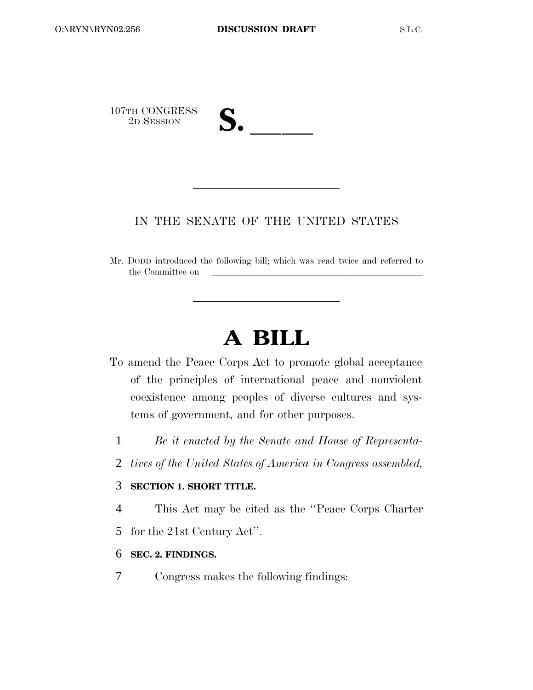

# IN THE SENATE OF THE UNITED STATES

Mr. DODD introduced the following bill; which was read twice and referred to the Committee on

# **A BILL**

- To amend the Peace Corps Act to promote global acceptance of the principles of international peace and nonviolent coexistence among peoples of diverse cultures and systems of government, and for other purposes.
	- 1 *Be it enacted by the Senate and House of Representa-*
	- 2 *tives of the United States of America in Congress assembled,*

# 3 **SECTION 1. SHORT TITLE.**

4 This Act may be cited as the ''Peace Corps Charter

5 for the 21st Century Act''.

# 6 **SEC. 2. FINDINGS.**

7 Congress makes the following findings: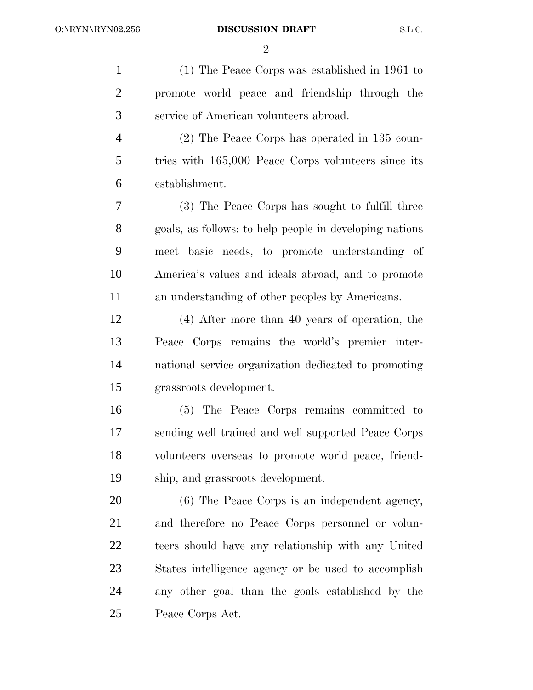$\mathfrak{D}$ 

 (1) The Peace Corps was established in 1961 to promote world peace and friendship through the service of American volunteers abroad. (2) The Peace Corps has operated in 135 coun- tries with 165,000 Peace Corps volunteers since its establishment. (3) The Peace Corps has sought to fulfill three goals, as follows: to help people in developing nations meet basic needs, to promote understanding of America's values and ideals abroad, and to promote an understanding of other peoples by Americans. (4) After more than 40 years of operation, the Peace Corps remains the world's premier inter- national service organization dedicated to promoting grassroots development. (5) The Peace Corps remains committed to sending well trained and well supported Peace Corps volunteers overseas to promote world peace, friend- ship, and grassroots development. (6) The Peace Corps is an independent agency, and therefore no Peace Corps personnel or volun- teers should have any relationship with any United States intelligence agency or be used to accomplish any other goal than the goals established by the Peace Corps Act.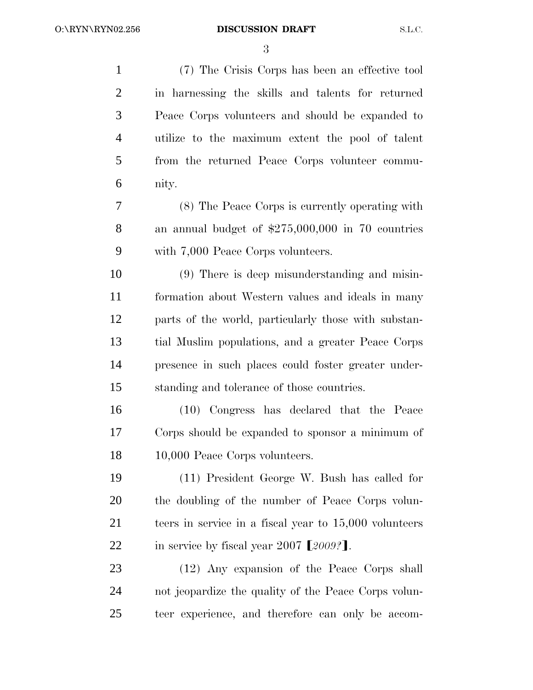(7) The Crisis Corps has been an effective tool in harnessing the skills and talents for returned Peace Corps volunteers and should be expanded to utilize to the maximum extent the pool of talent from the returned Peace Corps volunteer commu- nity. (8) The Peace Corps is currently operating with

 an annual budget of \$275,000,000 in 70 countries with 7,000 Peace Corps volunteers.

 (9) There is deep misunderstanding and misin- formation about Western values and ideals in many parts of the world, particularly those with substan- tial Muslim populations, and a greater Peace Corps presence in such places could foster greater under-standing and tolerance of those countries.

 (10) Congress has declared that the Peace Corps should be expanded to sponsor a minimum of 10,000 Peace Corps volunteers.

 (11) President George W. Bush has called for the doubling of the number of Peace Corps volun- teers in service in a fiscal year to 15,000 volunteers 22 in service by fiscal year 2007  $\llbracket 2009 \rrbracket$ .

 (12) Any expansion of the Peace Corps shall not jeopardize the quality of the Peace Corps volun-teer experience, and therefore can only be accom-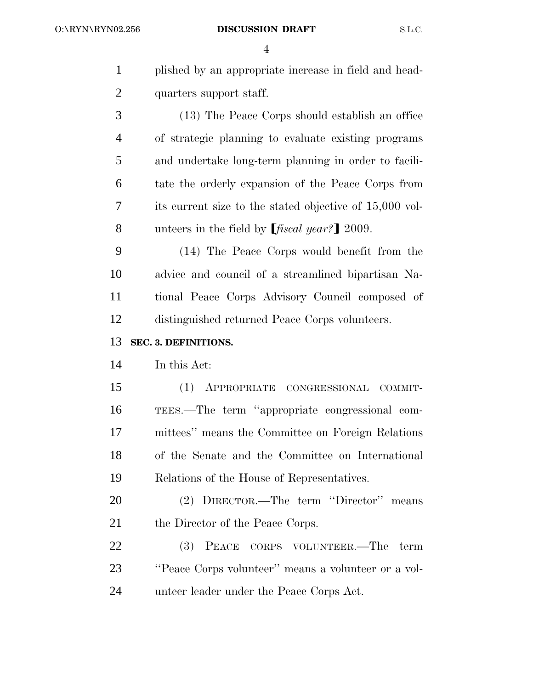| $\mathbf{1}$   | plished by an appropriate increase in field and head-     |
|----------------|-----------------------------------------------------------|
| $\overline{c}$ | quarters support staff.                                   |
| 3              | (13) The Peace Corps should establish an office           |
| $\overline{4}$ | of strategic planning to evaluate existing programs       |
| 5              | and undertake long-term planning in order to facili-      |
| 6              | tate the orderly expansion of the Peace Corps from        |
| 7              | its current size to the stated objective of 15,000 vol-   |
| 8              | unteers in the field by $[$ <i>fiscal year?</i> $]$ 2009. |
| 9              | (14) The Peace Corps would benefit from the               |
| 10             | advice and council of a streamlined bipartisan Na-        |
| 11             | tional Peace Corps Advisory Council composed of           |
| 12             | distinguished returned Peace Corps volunteers.            |
|                |                                                           |
| 13             | SEC. 3. DEFINITIONS.                                      |
| 14             | In this Act:                                              |
| 15             | $(1)$ APPROPRIATE<br>CONGRESSIONAL<br>COMMIT-             |
| 16             | TEES.—The term "appropriate congressional com-            |
| 17             | mittees" means the Committee on Foreign Relations         |
| 18             | of the Senate and the Committee on International          |
| 19             | Relations of the House of Representatives.                |
| 20             | (2) DIRECTOR.—The term "Director" means                   |
| 21             | the Director of the Peace Corps.                          |
| 22             | (3) PEACE CORPS VOLUNTEER.—The term                       |
| 23             | "Peace Corps volunteer" means a volunteer or a vol-       |
| 24             | unteer leader under the Peace Corps Act.                  |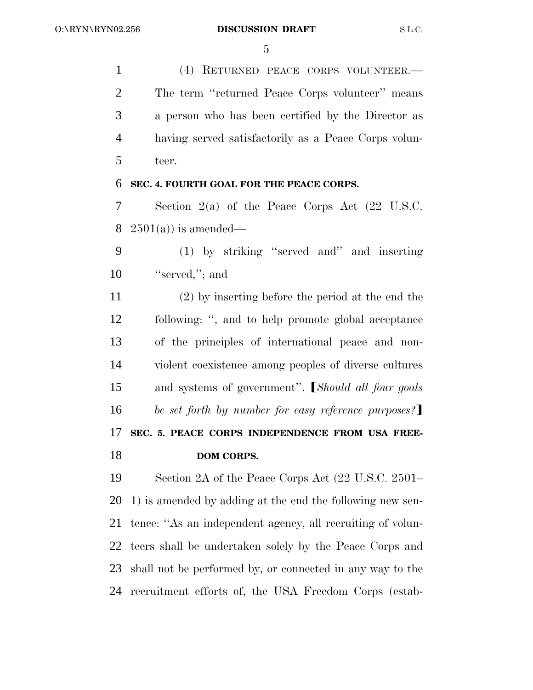(4) RETURNED PEACE CORPS VOLUNTEER.— The term ''returned Peace Corps volunteer'' means a person who has been certified by the Director as having served satisfactorily as a Peace Corps volun-teer.

# **SEC. 4. FOURTH GOAL FOR THE PEACE CORPS.**

 Section 2(a) of the Peace Corps Act (22 U.S.C. 8  $2501(a)$  is amended—

 (1) by striking ''served and'' and inserting 10 "served,"; and

 (2) by inserting before the period at the end the following: '', and to help promote global acceptance of the principles of international peace and non- violent coexistence among peoples of diverse cultures 15 and systems of government". *Should all four goals be set forth by number for easy reference purposes?*  **SEC. 5. PEACE CORPS INDEPENDENCE FROM USA FREE-DOM CORPS.**

 Section 2A of the Peace Corps Act (22 U.S.C. 2501– 1) is amended by adding at the end the following new sen- tence: ''As an independent agency, all recruiting of volun- teers shall be undertaken solely by the Peace Corps and shall not be performed by, or connected in any way to the recruitment efforts of, the USA Freedom Corps (estab-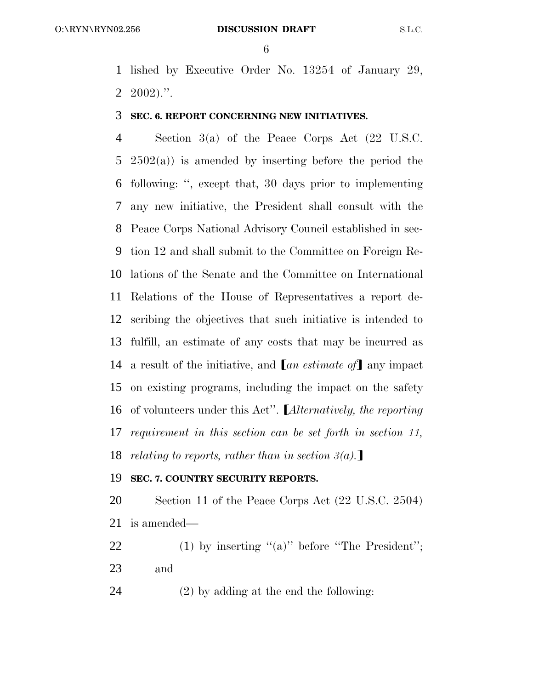lished by Executive Order No. 13254 of January 29,  $2 \t2002$ .".

## **SEC. 6. REPORT CONCERNING NEW INITIATIVES.**

 Section 3(a) of the Peace Corps Act (22 U.S.C. 2502(a)) is amended by inserting before the period the following: '', except that, 30 days prior to implementing any new initiative, the President shall consult with the Peace Corps National Advisory Council established in sec- tion 12 and shall submit to the Committee on Foreign Re- lations of the Senate and the Committee on International Relations of the House of Representatives a report de- scribing the objectives that such initiative is intended to fulfill, an estimate of any costs that may be incurred as 14 a result of the initiative, and  $\lceil an \epsilon s \rceil$  any impact on existing programs, including the impact on the safety 16 of volunteers under this Act". *Alternatively, the reporting requirement in this section can be set forth in section 11, relating to reports, rather than in section 3(a)*.

## **SEC. 7. COUNTRY SECURITY REPORTS.**

 Section 11 of the Peace Corps Act (22 U.S.C. 2504) is amended—

22 (1) by inserting " $(a)$ " before "The President"; and

(2) by adding at the end the following: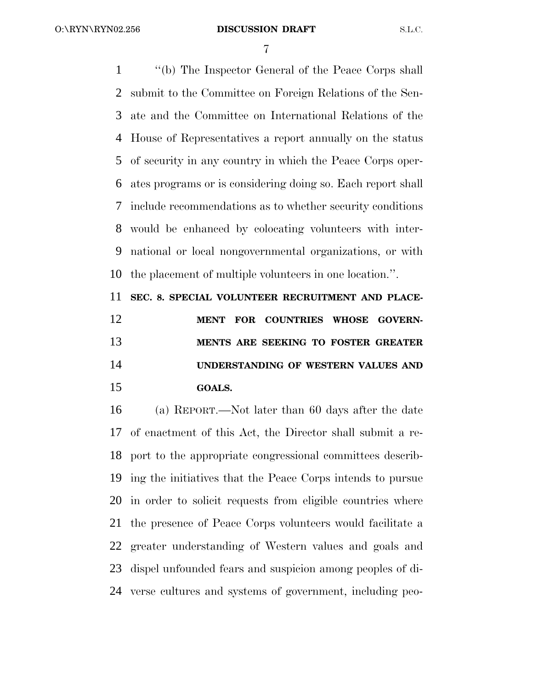O:\RYN\RYN02.256

#### **DISCUSSION DRAFT S.L.C.**

 ''(b) The Inspector General of the Peace Corps shall submit to the Committee on Foreign Relations of the Sen- ate and the Committee on International Relations of the House of Representatives a report annually on the status of security in any country in which the Peace Corps oper- ates programs or is considering doing so. Each report shall include recommendations as to whether security conditions would be enhanced by colocating volunteers with inter- national or local nongovernmental organizations, or with the placement of multiple volunteers in one location.''.

 **SEC. 8. SPECIAL VOLUNTEER RECRUITMENT AND PLACE- MENT FOR COUNTRIES WHOSE GOVERN- MENTS ARE SEEKING TO FOSTER GREATER UNDERSTANDING OF WESTERN VALUES AND GOALS.**

 (a) REPORT.—Not later than 60 days after the date of enactment of this Act, the Director shall submit a re- port to the appropriate congressional committees describ- ing the initiatives that the Peace Corps intends to pursue in order to solicit requests from eligible countries where the presence of Peace Corps volunteers would facilitate a greater understanding of Western values and goals and dispel unfounded fears and suspicion among peoples of di-verse cultures and systems of government, including peo-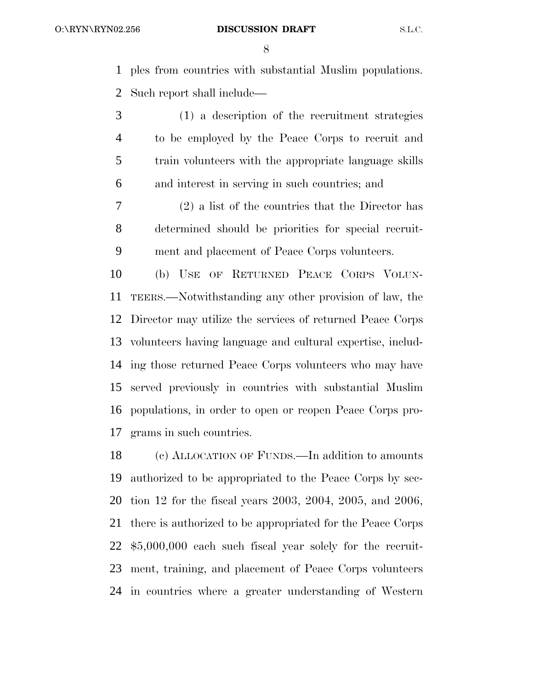ples from countries with substantial Muslim populations. Such report shall include—

 (1) a description of the recruitment strategies to be employed by the Peace Corps to recruit and train volunteers with the appropriate language skills and interest in serving in such countries; and

 (2) a list of the countries that the Director has determined should be priorities for special recruit-ment and placement of Peace Corps volunteers.

 (b) USE OF RETURNED PEACE CORPS VOLUN- TEERS.—Notwithstanding any other provision of law, the Director may utilize the services of returned Peace Corps volunteers having language and cultural expertise, includ- ing those returned Peace Corps volunteers who may have served previously in countries with substantial Muslim populations, in order to open or reopen Peace Corps pro-grams in such countries.

 (c) ALLOCATION OF FUNDS.—In addition to amounts authorized to be appropriated to the Peace Corps by sec- tion 12 for the fiscal years 2003, 2004, 2005, and 2006, there is authorized to be appropriated for the Peace Corps \$5,000,000 each such fiscal year solely for the recruit- ment, training, and placement of Peace Corps volunteers in countries where a greater understanding of Western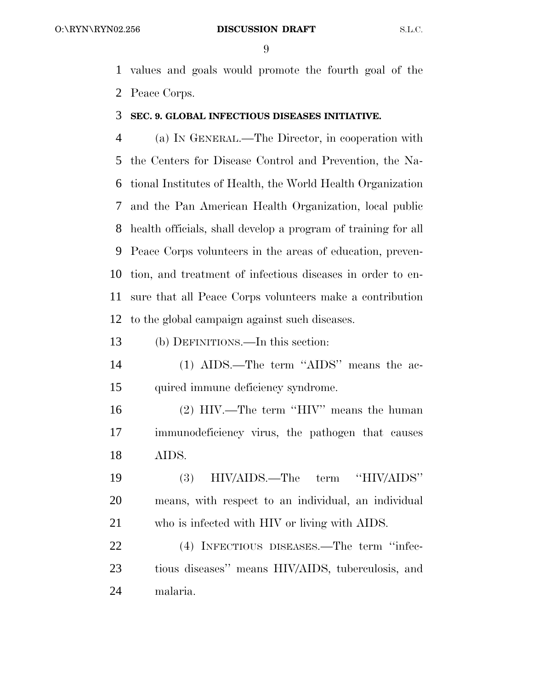values and goals would promote the fourth goal of the Peace Corps.

## **SEC. 9. GLOBAL INFECTIOUS DISEASES INITIATIVE.**

 (a) IN GENERAL.—The Director, in cooperation with the Centers for Disease Control and Prevention, the Na- tional Institutes of Health, the World Health Organization and the Pan American Health Organization, local public health officials, shall develop a program of training for all Peace Corps volunteers in the areas of education, preven- tion, and treatment of infectious diseases in order to en- sure that all Peace Corps volunteers make a contribution to the global campaign against such diseases.

(b) DEFINITIONS.—In this section:

 (1) AIDS.—The term ''AIDS'' means the ac-quired immune deficiency syndrome.

 (2) HIV.—The term ''HIV'' means the human immunodeficiency virus, the pathogen that causes AIDS.

 (3) HIV/AIDS.—The term ''HIV/AIDS'' means, with respect to an individual, an individual who is infected with HIV or living with AIDS.

22 (4) INFECTIOUS DISEASES.—The term "infec- tious diseases'' means HIV/AIDS, tuberculosis, and malaria.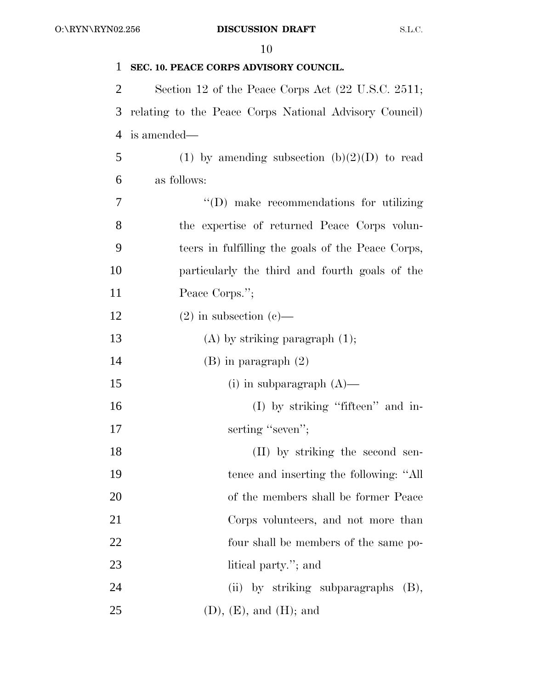| 1  | SEC. 10. PEACE CORPS ADVISORY COUNCIL.                 |
|----|--------------------------------------------------------|
| 2  | Section 12 of the Peace Corps Act (22 U.S.C. 2511;     |
| 3  | relating to the Peace Corps National Advisory Council) |
| 4  | is amended—                                            |
| 5  | (1) by amending subsection $(b)(2)(D)$ to read         |
| 6  | as follows:                                            |
| 7  | "(D) make recommendations for utilizing                |
| 8  | the expertise of returned Peace Corps volun-           |
| 9  | teers in fulfilling the goals of the Peace Corps,      |
| 10 | particularly the third and fourth goals of the         |
| 11 | Peace Corps.";                                         |
| 12 | $(2)$ in subsection $(e)$ —                            |
| 13 | $(A)$ by striking paragraph $(1)$ ;                    |
| 14 | $(B)$ in paragraph $(2)$                               |
| 15 | (i) in subparagraph $(A)$ —                            |
| 16 | $(I)$ by striking "fifteen" and in-                    |
| 17 | serting "seven";                                       |
| 18 | (II) by striking the second sen-                       |
| 19 | tence and inserting the following: "All                |
| 20 | of the members shall be former Peace                   |
| 21 | Corps volunteers, and not more than                    |
| 22 | four shall be members of the same po-                  |
| 23 | litical party."; and                                   |
| 24 | (ii) by striking subparagraphs<br>(B),                 |
| 25 | (D), (E), and (H); and                                 |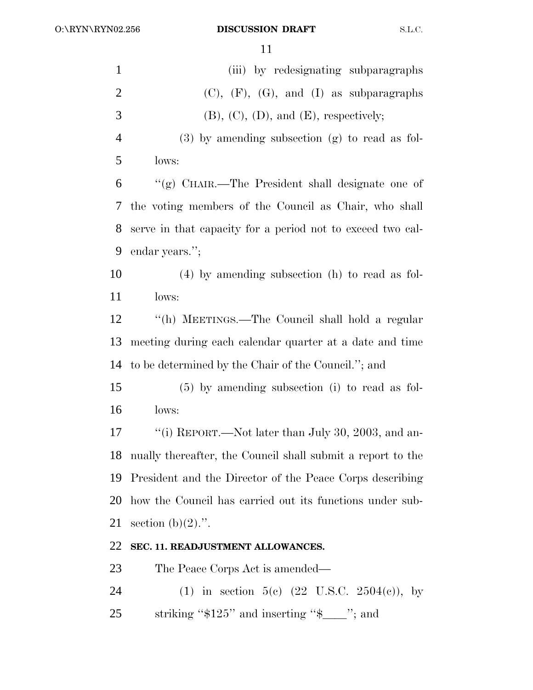| $\mathbf{1}$   | (iii) by redesignating subparagraphs                           |
|----------------|----------------------------------------------------------------|
| $\overline{2}$ | $(C), (F), (G), and (I)$ as subparagraphs                      |
| 3              | $(B)$ , $(C)$ , $(D)$ , and $(E)$ , respectively;              |
| $\overline{4}$ | $(3)$ by amending subsection $(g)$ to read as fol-             |
| 5              | lows:                                                          |
| 6              | "(g) CHAIR.—The President shall designate one of               |
| 7              | the voting members of the Council as Chair, who shall          |
| 8              | serve in that capacity for a period not to exceed two cal-     |
| 9              | endar years.";                                                 |
| 10             | $(4)$ by amending subsection (h) to read as fol-               |
| 11             | lows:                                                          |
| 12             | "(h) MEETINGS.—The Council shall hold a regular                |
| 13             | meeting during each calendar quarter at a date and time        |
| 14             | to be determined by the Chair of the Council."; and            |
| 15             | $(5)$ by amending subsection (i) to read as fol-               |
| 16             | lows:                                                          |
| 17             | "(i) REPORT.—Not later than July 30, 2003, and an-             |
|                | 18 nually thereafter, the Council shall submit a report to the |
| 19             | President and the Director of the Peace Corps describing       |
| 20             | how the Council has carried out its functions under sub-       |
| 21             | section $(b)(2)$ .".                                           |
| 22             | SEC. 11. READJUSTMENT ALLOWANCES.                              |
| 23             | The Peace Corps Act is amended—                                |
| 24             | (1) in section 5(c) $(22 \text{ U.S.C. } 2504(c))$ , by        |
| 25             | striking " $$125"$ and inserting " $$$ __"; and                |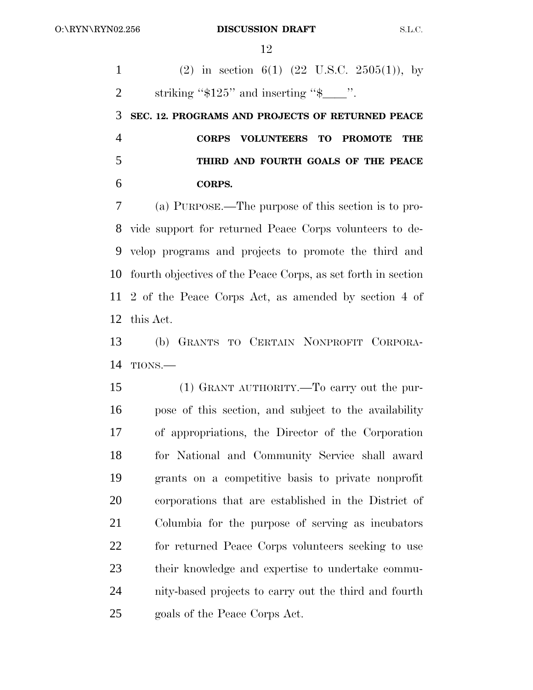1 (2) in section 6(1) (22 U.S.C. 2505(1)), by 2 striking " $$125"$  and inserting " $$$ ".

 **SEC. 12. PROGRAMS AND PROJECTS OF RETURNED PEACE CORPS VOLUNTEERS TO PROMOTE THE THIRD AND FOURTH GOALS OF THE PEACE CORPS.**

 (a) PURPOSE.—The purpose of this section is to pro- vide support for returned Peace Corps volunteers to de- velop programs and projects to promote the third and fourth objectives of the Peace Corps, as set forth in section 2 of the Peace Corps Act, as amended by section 4 of this Act.

 (b) GRANTS TO CERTAIN NONPROFIT CORPORA-TIONS.—

 (1) GRANT AUTHORITY.—To carry out the pur- pose of this section, and subject to the availability of appropriations, the Director of the Corporation for National and Community Service shall award grants on a competitive basis to private nonprofit corporations that are established in the District of Columbia for the purpose of serving as incubators for returned Peace Corps volunteers seeking to use their knowledge and expertise to undertake commu- nity-based projects to carry out the third and fourth goals of the Peace Corps Act.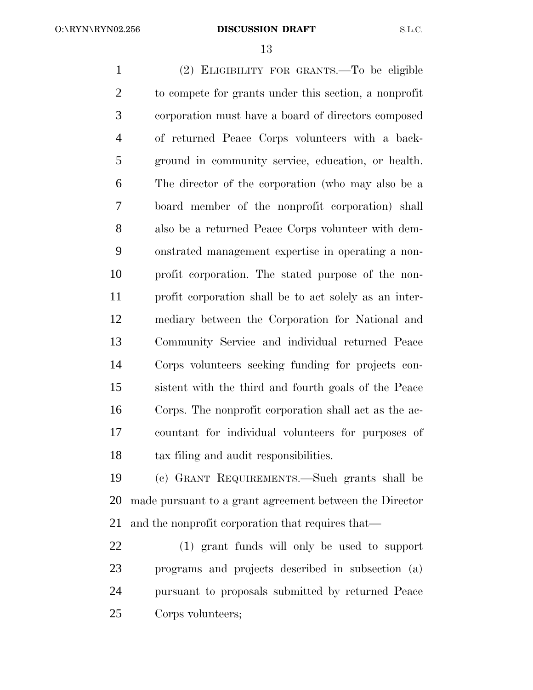(2) ELIGIBILITY FOR GRANTS.—To be eligible to compete for grants under this section, a nonprofit corporation must have a board of directors composed of returned Peace Corps volunteers with a back- ground in community service, education, or health. The director of the corporation (who may also be a board member of the nonprofit corporation) shall also be a returned Peace Corps volunteer with dem- onstrated management expertise in operating a non- profit corporation. The stated purpose of the non- profit corporation shall be to act solely as an inter- mediary between the Corporation for National and Community Service and individual returned Peace Corps volunteers seeking funding for projects con- sistent with the third and fourth goals of the Peace Corps. The nonprofit corporation shall act as the ac- countant for individual volunteers for purposes of tax filing and audit responsibilities.

 (c) GRANT REQUIREMENTS.—Such grants shall be made pursuant to a grant agreement between the Director and the nonprofit corporation that requires that—

 (1) grant funds will only be used to support programs and projects described in subsection (a) pursuant to proposals submitted by returned Peace Corps volunteers;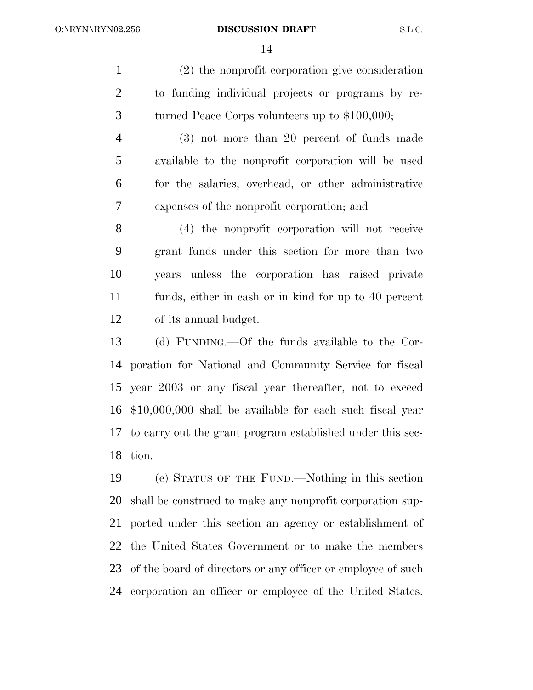(2) the nonprofit corporation give consideration to funding individual projects or programs by re-turned Peace Corps volunteers up to \$100,000;

 (3) not more than 20 percent of funds made available to the nonprofit corporation will be used for the salaries, overhead, or other administrative expenses of the nonprofit corporation; and

 (4) the nonprofit corporation will not receive grant funds under this section for more than two years unless the corporation has raised private funds, either in cash or in kind for up to 40 percent of its annual budget.

 (d) FUNDING.—Of the funds available to the Cor- poration for National and Community Service for fiscal year 2003 or any fiscal year thereafter, not to exceed \$10,000,000 shall be available for each such fiscal year to carry out the grant program established under this sec-tion.

 (e) STATUS OF THE FUND.—Nothing in this section shall be construed to make any nonprofit corporation sup- ported under this section an agency or establishment of the United States Government or to make the members 23 of the board of directors or any officer or employee of such corporation an officer or employee of the United States.